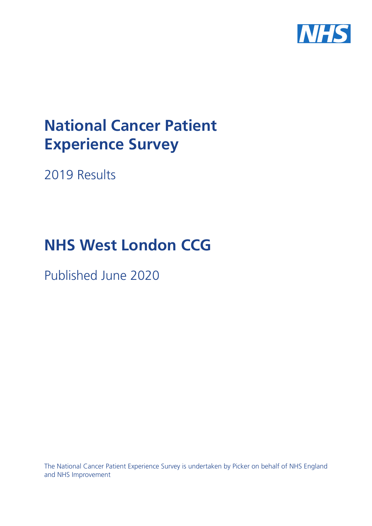

# **National Cancer Patient Experience Survey**

2019 Results

# **NHS West London CCG**

Published June 2020

The National Cancer Patient Experience Survey is undertaken by Picker on behalf of NHS England and NHS Improvement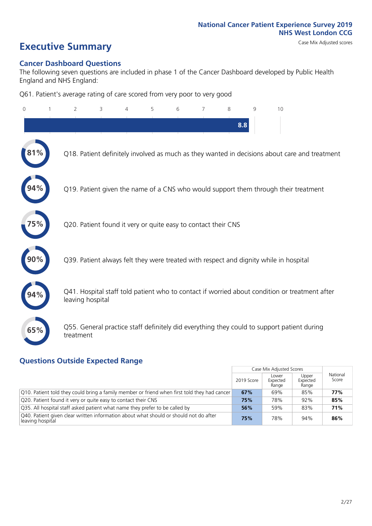# **Executive Summary** Case Mix Adjusted scores

#### **Cancer Dashboard Questions**

The following seven questions are included in phase 1 of the Cancer Dashboard developed by Public Health England and NHS England:

Q61. Patient's average rating of care scored from very poor to very good

| $\overline{0}$ | $\overline{2}$   | 3                                                             | $\overline{4}$ | 5 | 6 | $\overline{7}$ | 8   | 9 | 10                                                                                            |  |
|----------------|------------------|---------------------------------------------------------------|----------------|---|---|----------------|-----|---|-----------------------------------------------------------------------------------------------|--|
|                |                  |                                                               |                |   |   |                | 8.8 |   |                                                                                               |  |
|                |                  |                                                               |                |   |   |                |     |   | Q18. Patient definitely involved as much as they wanted in decisions about care and treatment |  |
|                |                  |                                                               |                |   |   |                |     |   | Q19. Patient given the name of a CNS who would support them through their treatment           |  |
|                |                  | Q20. Patient found it very or quite easy to contact their CNS |                |   |   |                |     |   |                                                                                               |  |
|                |                  |                                                               |                |   |   |                |     |   | Q39. Patient always felt they were treated with respect and dignity while in hospital         |  |
|                | leaving hospital |                                                               |                |   |   |                |     |   | Q41. Hospital staff told patient who to contact if worried about condition or treatment after |  |
| 65%            | treatment        |                                                               |                |   |   |                |     |   | Q55. General practice staff definitely did everything they could to support patient during    |  |
|                |                  |                                                               |                |   |   |                |     |   |                                                                                               |  |

### **Questions Outside Expected Range**

|                                                                                                           |            | Case Mix Adjusted Scores   |                            |                   |
|-----------------------------------------------------------------------------------------------------------|------------|----------------------------|----------------------------|-------------------|
|                                                                                                           | 2019 Score | Lower<br>Expected<br>Range | Upper<br>Expected<br>Range | National<br>Score |
| Q10. Patient told they could bring a family member or friend when first told they had cancer              | 67%        | 69%                        | 85%                        | 77%               |
| Q20. Patient found it very or quite easy to contact their CNS                                             | 75%        | 78%                        | 92%                        | 85%               |
| Q35. All hospital staff asked patient what name they prefer to be called by                               | 56%        | 59%                        | 83%                        | 71%               |
| Q40. Patient given clear written information about what should or should not do after<br>leaving hospital | 75%        | 78%                        | 94%                        | 86%               |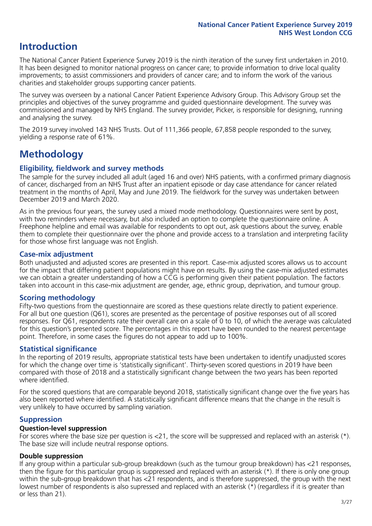## **Introduction**

The National Cancer Patient Experience Survey 2019 is the ninth iteration of the survey first undertaken in 2010. It has been designed to monitor national progress on cancer care; to provide information to drive local quality improvements; to assist commissioners and providers of cancer care; and to inform the work of the various charities and stakeholder groups supporting cancer patients.

The survey was overseen by a national Cancer Patient Experience Advisory Group. This Advisory Group set the principles and objectives of the survey programme and guided questionnaire development. The survey was commissioned and managed by NHS England. The survey provider, Picker, is responsible for designing, running and analysing the survey.

The 2019 survey involved 143 NHS Trusts. Out of 111,366 people, 67,858 people responded to the survey, yielding a response rate of 61%.

# **Methodology**

#### **Eligibility, fieldwork and survey methods**

The sample for the survey included all adult (aged 16 and over) NHS patients, with a confirmed primary diagnosis of cancer, discharged from an NHS Trust after an inpatient episode or day case attendance for cancer related treatment in the months of April, May and June 2019. The fieldwork for the survey was undertaken between December 2019 and March 2020.

As in the previous four years, the survey used a mixed mode methodology. Questionnaires were sent by post, with two reminders where necessary, but also included an option to complete the questionnaire online. A Freephone helpline and email was available for respondents to opt out, ask questions about the survey, enable them to complete their questionnaire over the phone and provide access to a translation and interpreting facility for those whose first language was not English.

#### **Case-mix adjustment**

Both unadjusted and adjusted scores are presented in this report. Case-mix adjusted scores allows us to account for the impact that differing patient populations might have on results. By using the case-mix adjusted estimates we can obtain a greater understanding of how a CCG is performing given their patient population. The factors taken into account in this case-mix adjustment are gender, age, ethnic group, deprivation, and tumour group.

#### **Scoring methodology**

Fifty-two questions from the questionnaire are scored as these questions relate directly to patient experience. For all but one question (Q61), scores are presented as the percentage of positive responses out of all scored responses. For Q61, respondents rate their overall care on a scale of 0 to 10, of which the average was calculated for this question's presented score. The percentages in this report have been rounded to the nearest percentage point. Therefore, in some cases the figures do not appear to add up to 100%.

#### **Statistical significance**

In the reporting of 2019 results, appropriate statistical tests have been undertaken to identify unadjusted scores for which the change over time is 'statistically significant'. Thirty-seven scored questions in 2019 have been compared with those of 2018 and a statistically significant change between the two years has been reported where identified.

For the scored questions that are comparable beyond 2018, statistically significant change over the five years has also been reported where identified. A statistically significant difference means that the change in the result is very unlikely to have occurred by sampling variation.

#### **Suppression**

#### **Question-level suppression**

For scores where the base size per question is  $<$ 21, the score will be suppressed and replaced with an asterisk (\*). The base size will include neutral response options.

#### **Double suppression**

If any group within a particular sub-group breakdown (such as the tumour group breakdown) has <21 responses, then the figure for this particular group is suppressed and replaced with an asterisk (\*). If there is only one group within the sub-group breakdown that has <21 respondents, and is therefore suppressed, the group with the next lowest number of respondents is also supressed and replaced with an asterisk (\*) (regardless if it is greater than or less than 21).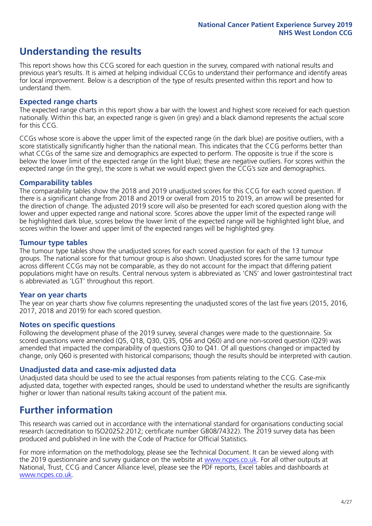# **Understanding the results**

This report shows how this CCG scored for each question in the survey, compared with national results and previous year's results. It is aimed at helping individual CCGs to understand their performance and identify areas for local improvement. Below is a description of the type of results presented within this report and how to understand them.

#### **Expected range charts**

The expected range charts in this report show a bar with the lowest and highest score received for each question nationally. Within this bar, an expected range is given (in grey) and a black diamond represents the actual score for this CCG.

CCGs whose score is above the upper limit of the expected range (in the dark blue) are positive outliers, with a score statistically significantly higher than the national mean. This indicates that the CCG performs better than what CCGs of the same size and demographics are expected to perform. The opposite is true if the score is below the lower limit of the expected range (in the light blue); these are negative outliers. For scores within the expected range (in the grey), the score is what we would expect given the CCG's size and demographics.

#### **Comparability tables**

The comparability tables show the 2018 and 2019 unadjusted scores for this CCG for each scored question. If there is a significant change from 2018 and 2019 or overall from 2015 to 2019, an arrow will be presented for the direction of change. The adjusted 2019 score will also be presented for each scored question along with the lower and upper expected range and national score. Scores above the upper limit of the expected range will be highlighted dark blue, scores below the lower limit of the expected range will be highlighted light blue, and scores within the lower and upper limit of the expected ranges will be highlighted grey.

#### **Tumour type tables**

The tumour type tables show the unadjusted scores for each scored question for each of the 13 tumour groups. The national score for that tumour group is also shown. Unadjusted scores for the same tumour type across different CCGs may not be comparable, as they do not account for the impact that differing patient populations might have on results. Central nervous system is abbreviated as 'CNS' and lower gastrointestinal tract is abbreviated as 'LGT' throughout this report.

#### **Year on year charts**

The year on year charts show five columns representing the unadjusted scores of the last five years (2015, 2016, 2017, 2018 and 2019) for each scored question.

#### **Notes on specific questions**

Following the development phase of the 2019 survey, several changes were made to the questionnaire. Six scored questions were amended (Q5, Q18, Q30, Q35, Q56 and Q60) and one non-scored question (Q29) was amended that impacted the comparability of questions Q30 to Q41. Of all questions changed or impacted by change, only Q60 is presented with historical comparisons; though the results should be interpreted with caution.

#### **Unadjusted data and case-mix adjusted data**

Unadjusted data should be used to see the actual responses from patients relating to the CCG. Case-mix adjusted data, together with expected ranges, should be used to understand whether the results are significantly higher or lower than national results taking account of the patient mix.

### **Further information**

This research was carried out in accordance with the international standard for organisations conducting social research (accreditation to ISO20252:2012; certificate number GB08/74322). The 2019 survey data has been produced and published in line with the Code of Practice for Official Statistics.

For more information on the methodology, please see the Technical Document. It can be viewed along with the 2019 questionnaire and survey quidance on the website at [www.ncpes.co.uk](https://www.ncpes.co.uk/supporting-documents). For all other outputs at National, Trust, CCG and Cancer Alliance level, please see the PDF reports, Excel tables and dashboards at [www.ncpes.co.uk.](https://www.ncpes.co.uk/current-results)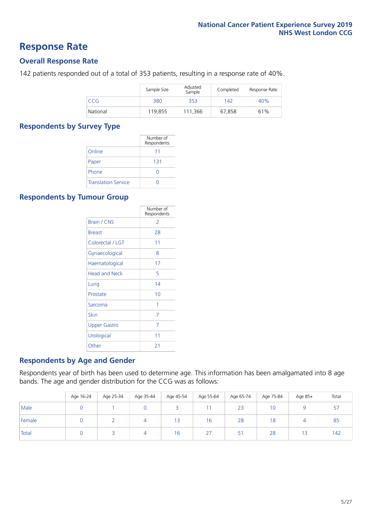### **Response Rate**

#### **Overall Response Rate**

142 patients responded out of a total of 353 patients, resulting in a response rate of 40%.

|          | Sample Size | Adjusted<br>Sample | Completed | Response Rate |
|----------|-------------|--------------------|-----------|---------------|
| CCG      | 380         | 353                | 142       | 40%           |
| National | 119,855     | 111.366            | 67,858    | 61%           |

#### **Respondents by Survey Type**

|                            | Number of<br>Respondents |
|----------------------------|--------------------------|
| Online                     | 11                       |
| Paper                      | 131                      |
| Phone                      |                          |
| <b>Translation Service</b> |                          |

#### **Respondents by Tumour Group**

|                      | Number of<br>Respondents |
|----------------------|--------------------------|
| Brain / CNS          | 2                        |
| <b>Breast</b>        | 28                       |
| Colorectal / LGT     | 11                       |
| Gynaecological       | 8                        |
| Haematological       | 17                       |
| <b>Head and Neck</b> | 5                        |
| Lung                 | 14                       |
| Prostate             | 10                       |
| Sarcoma              | 1                        |
| Skin                 | 7                        |
| Upper Gastro         | 7                        |
| Urological           | 11                       |
| Other                | 21                       |

#### **Respondents by Age and Gender**

Respondents year of birth has been used to determine age. This information has been amalgamated into 8 age bands. The age and gender distribution for the CCG was as follows:

|        | Age 16-24 | Age 25-34 | Age 35-44 | Age 45-54 | Age 55-64 | Age 65-74 | Age 75-84 | Age 85+ | Total     |
|--------|-----------|-----------|-----------|-----------|-----------|-----------|-----------|---------|-----------|
| Male   |           |           |           |           |           | 23        | 10        |         | ь.<br>، ب |
| Female |           |           |           | 13        | 16        | 28        | 18        |         | 85        |
| Total  |           |           | 4         | 16        | 27        | 51        | 28        | 13      | 142       |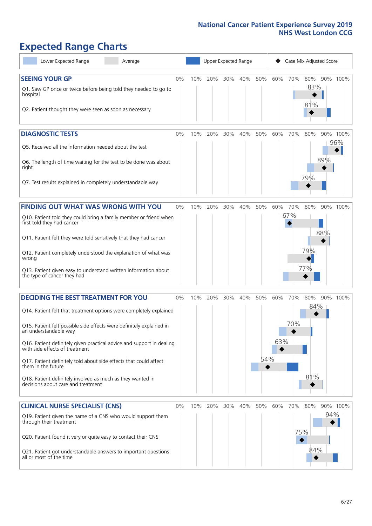# **Expected Range Charts**

| Lower Expected Range<br>Average                                                                         |       |     |         |     | Upper Expected Range |          |     |     | Case Mix Adjusted Score |          |
|---------------------------------------------------------------------------------------------------------|-------|-----|---------|-----|----------------------|----------|-----|-----|-------------------------|----------|
| <b>SEEING YOUR GP</b>                                                                                   | 0%    | 10% | 20%     |     | 30% 40%              | 50%      | 60% | 70% | 80%                     | 90% 100% |
| Q1. Saw GP once or twice before being told they needed to go to<br>hospital                             |       |     |         |     |                      |          |     |     | 83%<br>81%              |          |
| Q2. Patient thought they were seen as soon as necessary                                                 |       |     |         |     |                      |          |     |     |                         |          |
| <b>DIAGNOSTIC TESTS</b>                                                                                 | 0%    | 10% | 20%     | 30% | 40%                  | 50%      | 60% | 70% | 80%                     | 90% 100% |
| Q5. Received all the information needed about the test                                                  |       |     |         |     |                      |          |     |     |                         | 96%      |
| Q6. The length of time waiting for the test to be done was about<br>right                               |       |     |         |     |                      |          |     |     | 89%<br>79%              |          |
| Q7. Test results explained in completely understandable way                                             |       |     |         |     |                      |          |     |     |                         |          |
| <b>FINDING OUT WHAT WAS WRONG WITH YOU</b>                                                              | $0\%$ | 10% | 20%     | 30% | 40%                  | 50%      | 60% | 70% | 80%                     | 90% 100% |
| Q10. Patient told they could bring a family member or friend when<br>first told they had cancer         |       |     |         |     |                      |          |     | 67% |                         |          |
| Q11. Patient felt they were told sensitively that they had cancer                                       |       |     |         |     |                      |          |     |     | 88%                     |          |
| Q12. Patient completely understood the explanation of what was<br>wrong                                 |       |     |         |     |                      |          |     |     | 79%                     |          |
| Q13. Patient given easy to understand written information about<br>the type of cancer they had          |       |     |         |     |                      |          |     |     | 77%                     |          |
| <b>DECIDING THE BEST TREATMENT FOR YOU</b>                                                              | 0%    | 10% | 20%     | 30% | 40%                  | 50%      | 60% | 70% | 80%                     | 90% 100% |
| Q14. Patient felt that treatment options were completely explained                                      |       |     |         |     |                      |          |     |     | 84%                     |          |
| Q15. Patient felt possible side effects were definitely explained in<br>an understandable way           |       |     |         |     |                      |          |     | 70% |                         |          |
| Q16. Patient definitely given practical advice and support in dealing<br>with side effects of treatment |       |     |         |     |                      |          | 63% |     |                         |          |
| Q17. Patient definitely told about side effects that could affect<br>them in the future                 |       |     |         |     |                      | 54%<br>♦ |     |     |                         |          |
| Q18. Patient definitely involved as much as they wanted in<br>decisions about care and treatment        |       |     |         |     |                      |          |     |     | 81%                     |          |
| <b>CLINICAL NURSE SPECIALIST (CNS)</b>                                                                  | 0%    |     | 10% 20% | 30% | 40%                  | 50%      | 60% | 70% | 80%                     | 90% 100% |
| Q19. Patient given the name of a CNS who would support them<br>through their treatment                  |       |     |         |     |                      |          |     |     |                         | 94%      |
| Q20. Patient found it very or quite easy to contact their CNS                                           |       |     |         |     |                      |          |     | 75% |                         |          |
| Q21. Patient got understandable answers to important questions<br>all or most of the time               |       |     |         |     |                      |          |     |     | 84%                     |          |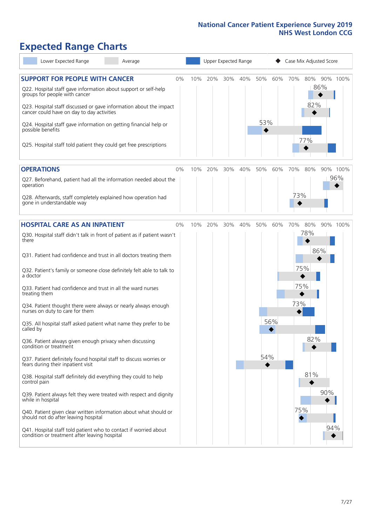# **Expected Range Charts**

| Lower Expected Range<br>Average                                                                                                                                                                                                                                                                                                                                                                                                                                                                                                                                                                                                                                                                                                                                                                                                                                                    |    |     |     |     | Upper Expected Range |            |     | Case Mix Adjusted Score |                                 |            |          |
|------------------------------------------------------------------------------------------------------------------------------------------------------------------------------------------------------------------------------------------------------------------------------------------------------------------------------------------------------------------------------------------------------------------------------------------------------------------------------------------------------------------------------------------------------------------------------------------------------------------------------------------------------------------------------------------------------------------------------------------------------------------------------------------------------------------------------------------------------------------------------------|----|-----|-----|-----|----------------------|------------|-----|-------------------------|---------------------------------|------------|----------|
| <b>SUPPORT FOR PEOPLE WITH CANCER</b><br>Q22. Hospital staff gave information about support or self-help<br>groups for people with cancer<br>Q23. Hospital staff discussed or gave information about the impact<br>cancer could have on day to day activities<br>Q24. Hospital staff gave information on getting financial help or<br>possible benefits<br>Q25. Hospital staff told patient they could get free prescriptions                                                                                                                                                                                                                                                                                                                                                                                                                                                      | 0% | 10% | 20% | 30% | 40%                  | 50%<br>53% | 60% | 70%                     | 80%<br>82%<br>77%               | 86%        | 90% 100% |
| <b>OPERATIONS</b>                                                                                                                                                                                                                                                                                                                                                                                                                                                                                                                                                                                                                                                                                                                                                                                                                                                                  | 0% | 10% | 20% | 30% | 40%                  | 50%        | 60% | 70%                     | 80%                             |            | 90% 100% |
| Q27. Beforehand, patient had all the information needed about the<br>operation<br>Q28. Afterwards, staff completely explained how operation had<br>gone in understandable way                                                                                                                                                                                                                                                                                                                                                                                                                                                                                                                                                                                                                                                                                                      |    |     |     |     |                      |            |     | 73%                     |                                 |            | 96%      |
| <b>HOSPITAL CARE AS AN INPATIENT</b>                                                                                                                                                                                                                                                                                                                                                                                                                                                                                                                                                                                                                                                                                                                                                                                                                                               | 0% | 10% | 20% | 30% | 40%                  | 50%        | 60% | 70%                     | 80%                             |            | 90% 100% |
| Q30. Hospital staff didn't talk in front of patient as if patient wasn't<br>there<br>Q31. Patient had confidence and trust in all doctors treating them<br>Q32. Patient's family or someone close definitely felt able to talk to<br>a doctor<br>Q33. Patient had confidence and trust in all the ward nurses<br>treating them<br>Q34. Patient thought there were always or nearly always enough<br>nurses on duty to care for them<br>Q35. All hospital staff asked patient what name they prefer to be<br>called by<br>Q36. Patient always given enough privacy when discussing<br>condition or treatment<br>Q37. Patient definitely found hospital staff to discuss worries or<br>fears during their inpatient visit<br>Q38. Hospital staff definitely did everything they could to help<br>control pain<br>Q39. Patient always felt they were treated with respect and dignity |    |     |     |     |                      | 54%<br>◆   | 56% | 73%                     | 78%<br>75%<br>75%<br>82%<br>81% | 86%<br>90% |          |
| while in hospital<br>Q40. Patient given clear written information about what should or<br>should not do after leaving hospital<br>Q41. Hospital staff told patient who to contact if worried about<br>condition or treatment after leaving hospital                                                                                                                                                                                                                                                                                                                                                                                                                                                                                                                                                                                                                                |    |     |     |     |                      |            |     | 75%                     |                                 | 94%        |          |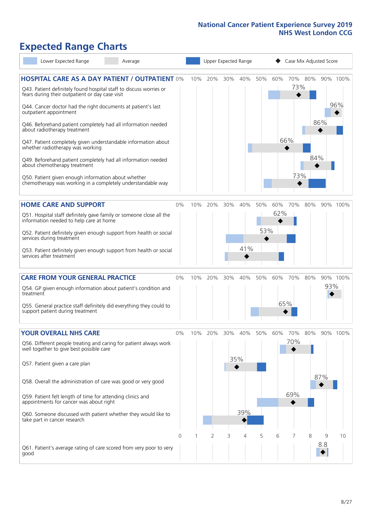# **Expected Range Charts**

| Lower Expected Range<br>Average                                                                                       |    |     | Upper Expected Range |        |     |     |     | Case Mix Adjusted Score |     |     |          |
|-----------------------------------------------------------------------------------------------------------------------|----|-----|----------------------|--------|-----|-----|-----|-------------------------|-----|-----|----------|
| <b>HOSPITAL CARE AS A DAY PATIENT / OUTPATIENT 0%</b>                                                                 |    | 10% | 20%                  | 30%    | 40% | 50% | 60% | 70%                     | 80% |     | 90% 100% |
| Q43. Patient definitely found hospital staff to discuss worries or<br>fears during their outpatient or day case visit |    |     |                      |        |     |     |     | 73%                     |     |     |          |
| Q44. Cancer doctor had the right documents at patient's last<br>outpatient appointment                                |    |     |                      |        |     |     |     |                         |     |     | 96%      |
| Q46. Beforehand patient completely had all information needed<br>about radiotherapy treatment                         |    |     |                      |        |     |     |     |                         |     | 86% |          |
| Q47. Patient completely given understandable information about<br>whether radiotherapy was working                    |    |     |                      |        |     |     |     | 66%                     |     |     |          |
| Q49. Beforehand patient completely had all information needed<br>about chemotherapy treatment                         |    |     |                      |        |     |     |     |                         | 84% |     |          |
| Q50. Patient given enough information about whether<br>chemotherapy was working in a completely understandable way    |    |     |                      |        |     |     |     | 73%                     |     |     |          |
| <b>HOME CARE AND SUPPORT</b>                                                                                          | 0% | 10% | 20%                  | 30%    | 40% | 50% | 60% | 70%                     | 80% |     | 90% 100% |
| Q51. Hospital staff definitely gave family or someone close all the<br>information needed to help care at home        |    |     |                      |        |     |     | 62% |                         |     |     |          |
| Q52. Patient definitely given enough support from health or social<br>services during treatment                       |    |     |                      |        |     | 53% |     |                         |     |     |          |
| Q53. Patient definitely given enough support from health or social<br>services after treatment                        |    |     |                      |        | 41% |     |     |                         |     |     |          |
| <b>CARE FROM YOUR GENERAL PRACTICE</b>                                                                                | 0% | 10% | 20%                  | $30\%$ | 40% | 50% | 60% | 70%                     | 80% |     | 90% 100% |
| Q54. GP given enough information about patient's condition and<br>treatment                                           |    |     |                      |        |     |     |     |                         |     | 93% |          |
| Q55. General practice staff definitely did everything they could to<br>support patient during treatment               |    |     |                      |        |     |     |     | 65%                     |     |     |          |
| <b>YOUR OVERALL NHS CARE</b>                                                                                          | 0% | 10% | 20%                  | 30%    | 40% | 50% | 60% | 70%                     | 80% |     | 90% 100% |
| Q56. Different people treating and caring for patient always work<br>well together to give best possible care         |    |     |                      |        |     |     |     | 70%                     |     |     |          |
| Q57. Patient given a care plan                                                                                        |    |     |                      |        | 35% |     |     |                         |     |     |          |
| Q58. Overall the administration of care was good or very good                                                         |    |     |                      |        |     |     |     |                         |     | 87% |          |
| Q59. Patient felt length of time for attending clinics and<br>appointments for cancer was about right                 |    |     |                      |        |     |     |     | 69%                     |     |     |          |
| Q60. Someone discussed with patient whether they would like to<br>take part in cancer research                        |    |     |                      |        | 39% |     |     |                         |     |     |          |
|                                                                                                                       | 0  |     | 2                    | 3      | 4   | 5   | 6   |                         | 8   | 9   | 10       |
| Q61. Patient's average rating of care scored from very poor to very<br>good                                           |    |     |                      |        |     |     |     |                         |     | 8.8 |          |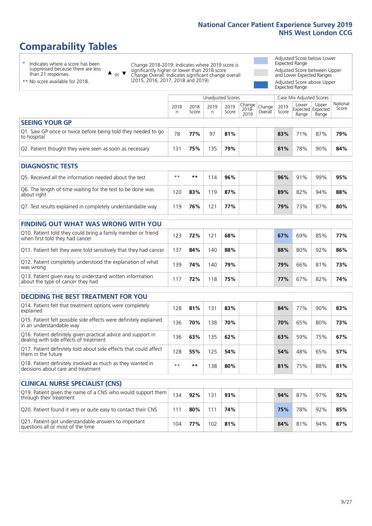# **Comparability Tables**

\* Indicates where a score has been suppressed because there are less than 21 responses.

\*\* No score available for 2018.

 $\triangle$  or  $\nabla$ 

Change 2018-2019: Indicates where 2019 score is significantly higher or lower than 2018 score Change Overall: Indicates significant change overall (2015, 2016, 2017, 2018 and 2019).

Adjusted Score below Lower Expected Range Adjusted Score between Upper and Lower Expected Ranges Adjusted Score above Upper Expected Range

|                                                                             |           |               | Unadjusted Scores |               |                                                  |         |               | Case Mix Adjusted Scores            |                |                   |
|-----------------------------------------------------------------------------|-----------|---------------|-------------------|---------------|--------------------------------------------------|---------|---------------|-------------------------------------|----------------|-------------------|
|                                                                             | 2018<br>n | 2018<br>Score | 2019<br>n         | 2019<br>Score | $\sqrt{(\text{Change})}$ Change<br>2018-<br>2019 | Overall | 2019<br>Score | Lower<br>Expected Expected<br>Range | Upper<br>Range | National<br>Score |
| <b>SEEING YOUR GP</b>                                                       |           |               |                   |               |                                                  |         |               |                                     |                |                   |
| Q1. Saw GP once or twice before being told they needed to go<br>to hospital | 78        | 77%           | 97                | 81%           |                                                  |         | 83%           | 71%                                 | 87%            | 79%               |
| Q2. Patient thought they were seen as soon as necessary                     | 131       | 75%           | 135               | 79%           |                                                  |         | 81%           | 78%                                 | 90%            | 84%               |
| <b>DIAGNOSTIC TESTS</b>                                                     |           |               |                   |               |                                                  |         |               |                                     |                |                   |

| O5. Received all the information needed about the test                    | $**$ | **  | 114 | 96% |  | 96% | 91% | 99% | 95% |
|---------------------------------------------------------------------------|------|-----|-----|-----|--|-----|-----|-----|-----|
| Q6. The length of time waiting for the test to be done was<br>about right | 20   | 83% | 119 | 87% |  | 89% | 82% | 94% | 88% |
| Q7. Test results explained in completely understandable way               | 19   | 76% | 121 | 77% |  | 79% | 73% | 87% | 80% |

| <b>FINDING OUT WHAT WAS WRONG WITH YOU</b>                                                      |     |     |     |     |            |     |     |     |
|-------------------------------------------------------------------------------------------------|-----|-----|-----|-----|------------|-----|-----|-----|
| Q10. Patient told they could bring a family member or friend<br>when first told they had cancer | 123 | 72% | 121 | 68% | 67%        | 69% | 85% | 77% |
| Q11. Patient felt they were told sensitively that they had cancer                               | 137 | 84% | 140 | 88% | 88%        | 80% | 92% | 86% |
| Q12. Patient completely understood the explanation of what<br>was wrong                         | 139 | 74% | 140 | 79% | 79%        | 66% | 81% | 73% |
| Q13. Patient given easy to understand written information<br>about the type of cancer they had  |     | 72% | 118 | 75% | <b>77%</b> | 67% | 82% | 74% |

| <b>DECIDING THE BEST TREATMENT FOR YOU</b>                                                              |      |     |     |     |     |                 |     |     |
|---------------------------------------------------------------------------------------------------------|------|-----|-----|-----|-----|-----------------|-----|-----|
| Q14. Patient felt that treatment options were completely<br>explained                                   | 128  | 81% | 131 | 83% | 84% | 77 <sub>%</sub> | 90% | 83% |
| Q15. Patient felt possible side effects were definitely explained<br>in an understandable way           | 136  | 70% | 138 | 70% | 70% | 65%             | 80% | 73% |
| Q16. Patient definitely given practical advice and support in<br>dealing with side effects of treatment | 136  | 63% | 135 | 62% | 63% | 59%             | 75% | 67% |
| Q17. Patient definitely told about side effects that could affect<br>them in the future                 | 128  | 55% | 125 | 54% | 54% | 48%             | 65% | 57% |
| Q18. Patient definitely involved as much as they wanted in<br>decisions about care and treatment        | $**$ | **  | 38  | 80% | 81% | 75%             | 88% | 81% |

| <b>CLINICAL NURSE SPECIALIST (CNS)</b>                                                    |     |     |     |     |  |     |     |     |     |
|-------------------------------------------------------------------------------------------|-----|-----|-----|-----|--|-----|-----|-----|-----|
| [Q19] Patient given the name of a CNS who would support them<br>through their treatment   | 134 | 92% | 131 | 93% |  | 94% | 87% | 97% | 92% |
| Q20. Patient found it very or quite easy to contact their CNS                             | 111 | 80% | 111 | 74% |  | 75% | 78% | 92% | 85% |
| Q21. Patient got understandable answers to important<br>questions all or most of the time | 104 | 77% | 102 | 81% |  | 84% | 81% | 94% | 87% |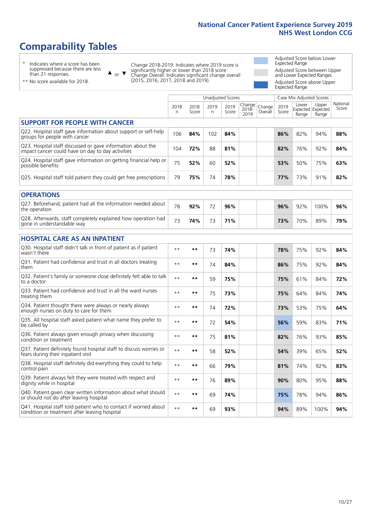# **Comparability Tables**

\* Indicates where a score has been suppressed because there are less than 21 responses.

\*\* No score available for 2018.

 $\triangle$  or  $\nabla$ 

Change 2018-2019: Indicates where 2019 score is significantly higher or lower than 2018 score Change Overall: Indicates significant change overall (2015, 2016, 2017, 2018 and 2019).

Adjusted Score below Lower Expected Range Adjusted Score between Upper and Lower Expected Ranges Adjusted Score above Upper Expected Range

|                                                                                                                   |              |               |            | <b>Unadjusted Scores</b> |                         |                   |               | Case Mix Adjusted Scores            |                |                   |
|-------------------------------------------------------------------------------------------------------------------|--------------|---------------|------------|--------------------------|-------------------------|-------------------|---------------|-------------------------------------|----------------|-------------------|
|                                                                                                                   | 2018<br>n    | 2018<br>Score | 2019<br>n. | 2019<br>Score            | Change<br>2018-<br>2019 | Change<br>Overall | 2019<br>Score | Lower<br>Expected Expected<br>Range | Upper<br>Range | National<br>Score |
| <b>SUPPORT FOR PEOPLE WITH CANCER</b>                                                                             |              |               |            |                          |                         |                   |               |                                     |                |                   |
| Q22. Hospital staff gave information about support or self-help<br>groups for people with cancer                  | 106          | 84%           | 102        | 84%                      |                         |                   | 86%           | 82%                                 | 94%            | 88%               |
| Q23. Hospital staff discussed or gave information about the<br>impact cancer could have on day to day activities  | 104          | 72%           | 88         | 81%                      |                         |                   | 82%           | 76%                                 | 92%            | 84%               |
| Q24. Hospital staff gave information on getting financial help or<br>possible benefits                            | 75           | 52%           | 60         | 52%                      |                         |                   | 53%           | 50%                                 | 75%            | 63%               |
| Q25. Hospital staff told patient they could get free prescriptions                                                | 79           | 75%           | 74         | 78%                      |                         |                   | 77%           | 73%                                 | 91%            | 82%               |
| <b>OPERATIONS</b>                                                                                                 |              |               |            |                          |                         |                   |               |                                     |                |                   |
| Q27. Beforehand, patient had all the information needed about<br>the operation                                    | 78           | 92%           | 72         | 96%                      |                         |                   | 96%           | 92%                                 | 100%           | 96%               |
| Q28. Afterwards, staff completely explained how operation had<br>gone in understandable way                       | 73           | 74%           | 73         | 71%                      |                         |                   | 73%           | 70%                                 | 89%            | 79%               |
| <b>HOSPITAL CARE AS AN INPATIENT</b>                                                                              |              |               |            |                          |                         |                   |               |                                     |                |                   |
| Q30. Hospital staff didn't talk in front of patient as if patient<br>wasn't there                                 | $**$         | **            | 73         | 74%                      |                         |                   | 78%           | 75%                                 | 92%            | 84%               |
| Q31. Patient had confidence and trust in all doctors treating<br>them                                             | $**$         | **            | 74         | 84%                      |                         |                   | 86%           | 75%                                 | 92%            | 84%               |
| Q32. Patient's family or someone close definitely felt able to talk<br>to a doctor                                | $* *$        | **            | 59         | 75%                      |                         |                   | 75%           | 61%                                 | 84%            | 72%               |
| O33. Patient had confidence and trust in all the ward nurses<br>treating them                                     | $**$         | **            | 75         | 73%                      |                         |                   | 75%           | 64%                                 | 84%            | 74%               |
| Q34. Patient thought there were always or nearly always<br>enough nurses on duty to care for them                 | $\star\star$ | **            | 74         | 72%                      |                         |                   | 73%           | 53%                                 | 75%            | 64%               |
| Q35. All hospital staff asked patient what name they prefer to<br>be called by                                    | $* *$        | **            | 72         | 54%                      |                         |                   | 56%           | 59%                                 | 83%            | 71%               |
| Q36. Patient always given enough privacy when discussing<br>condition or treatment                                | $**$         | $***$         | 75         | 81%                      |                         |                   | 82%           | 76%                                 | 93%            | 85%               |
| Q37. Patient definitely found hospital staff to discuss worries or<br>fears during their inpatient visit          | $**$         | **            | 58         | 52%                      |                         |                   | 54%           | 39%                                 | 65%            | 52%               |
| Q38. Hospital staff definitely did everything they could to help<br>control pain                                  | $\star\star$ | $***$         | 66         | 79%                      |                         |                   | 81%           | 74%                                 | 92%            | 83%               |
| Q39. Patient always felt they were treated with respect and<br>dignity while in hospital                          | $***$        | **            | 76         | 89%                      |                         |                   | 90%           | 80%                                 | 95%            | 88%               |
| Q40. Patient given clear written information about what should<br>or should not do after leaving hospital         | $**$         | **            | 69         | 74%                      |                         |                   | 75%           | 78%                                 | 94%            | 86%               |
| Q41. Hospital staff told patient who to contact if worried about<br>condition or treatment after leaving hospital | $**$         | **            | 69         | 93%                      |                         |                   | 94%           | 89%                                 | 100%           | 94%               |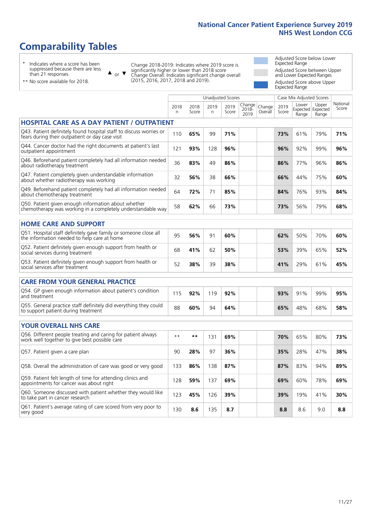# **Comparability Tables**

\* Indicates where a score has been suppressed because there are less than 21 responses.

\*\* No score available for 2018.

 $\triangle$  or  $\nabla$ 

Change 2018-2019: Indicates where 2019 score is significantly higher or lower than 2018 score Change Overall: Indicates significant change overall (2015, 2016, 2017, 2018 and 2019).

Adjusted Score below Lower Expected Range Adjusted Score between Upper and Lower Expected Ranges Adjusted Score above Upper Expected Range

|                                                                                                                       |           |               |            | <b>Unadjusted Scores</b> |                         |                   |               | Case Mix Adjusted Scores |                                     |                   |
|-----------------------------------------------------------------------------------------------------------------------|-----------|---------------|------------|--------------------------|-------------------------|-------------------|---------------|--------------------------|-------------------------------------|-------------------|
|                                                                                                                       | 2018<br>n | 2018<br>Score | 2019<br>n. | 2019<br>Score            | Change<br>2018-<br>2019 | Change<br>Overall | 2019<br>Score | Lower<br>Range           | Upper<br>Expected Expected<br>Range | National<br>Score |
| <b>HOSPITAL CARE AS A DAY PATIENT / OUTPATIENT</b>                                                                    |           |               |            |                          |                         |                   |               |                          |                                     |                   |
| Q43. Patient definitely found hospital staff to discuss worries or<br>fears during their outpatient or day case visit | 110       | 65%           | 99         | 71%                      |                         |                   | 73%           | 61%                      | 79%                                 | 71%               |
| Q44. Cancer doctor had the right documents at patient's last<br>outpatient appointment                                | 121       | 93%           | 128        | 96%                      |                         |                   | 96%           | 92%                      | 99%                                 | 96%               |
| Q46. Beforehand patient completely had all information needed<br>about radiotherapy treatment                         | 36        | 83%           | 49         | 86%                      |                         |                   | 86%           | 77%                      | 96%                                 | 86%               |
| Q47. Patient completely given understandable information<br>about whether radiotherapy was working                    | 32        | 56%           | 38         | 66%                      |                         |                   | 66%           | 44%                      | 75%                                 | 60%               |
| Q49. Beforehand patient completely had all information needed<br>about chemotherapy treatment                         | 64        | 72%           | 71         | 85%                      |                         |                   | 84%           | 76%                      | 93%                                 | 84%               |
| Q50. Patient given enough information about whether<br>chemotherapy was working in a completely understandable way    | 58        | 62%           | 66         | 73%                      |                         |                   | 73%           | 56%                      | 79%                                 | 68%               |
| <b>HOME CARE AND SUPPORT</b>                                                                                          |           |               |            |                          |                         |                   |               |                          |                                     |                   |
| Q51. Hospital staff definitely gave family or someone close all<br>the information needed to help care at home        | 95        | 56%           | 91         | 60%                      |                         |                   | 62%           | 50%                      | 70%                                 | 60%               |
| Q52. Patient definitely given enough support from health or<br>social services during treatment                       | 68        | 41%           | 62         | 50%                      |                         |                   | 53%           | 39%                      | 65%                                 | 52%               |
| Q53. Patient definitely given enough support from health or<br>social services after treatment                        | 52        | 38%           | 39         | 38%                      |                         |                   | 41%           | 29%                      | 61%                                 | 45%               |
| <b>CARE FROM YOUR GENERAL PRACTICE</b>                                                                                |           |               |            |                          |                         |                   |               |                          |                                     |                   |
| Q54. GP given enough information about patient's condition<br>and treatment                                           | 115       | 92%           | 119        | 92%                      |                         |                   | 93%           | 91%                      | 99%                                 | 95%               |
| Q55. General practice staff definitely did everything they could<br>to support patient during treatment               | 88        | 60%           | 94         | 64%                      |                         |                   | 65%           | 48%                      | 68%                                 | 58%               |
| <b>YOUR OVERALL NHS CARE</b>                                                                                          |           |               |            |                          |                         |                   |               |                          |                                     |                   |
| Q56. Different people treating and caring for patient always<br>work well together to give best possible care         | $* *$     | **            | 131        | 69%                      |                         |                   | 70%           | 65%                      | 80%                                 | 73%               |
| Q57. Patient given a care plan                                                                                        | 90        | 28%           | 97         | 36%                      |                         |                   | 35%           | 28%                      | 47%                                 | 38%               |
| Q58. Overall the administration of care was good or very good                                                         | 133       | 86%           | 138        | 87%                      |                         |                   | 87%           | 83%                      | 94%                                 | 89%               |
| Q59. Patient felt length of time for attending clinics and<br>appointments for cancer was about right                 | 128       | 59%           | 137        | 69%                      |                         |                   | 69%           | 60%                      | 78%                                 | 69%               |
| Q60. Someone discussed with patient whether they would like<br>to take part in cancer research                        | 123       | 45%           | 126        | 39%                      |                         |                   | 39%           | 19%                      | 41%                                 | 30%               |
| Q61. Patient's average rating of care scored from very poor to<br>very good                                           | 130       | 8.6           | 135        | 8.7                      |                         |                   | 8.8           | 8.6                      | 9.0                                 | 8.8               |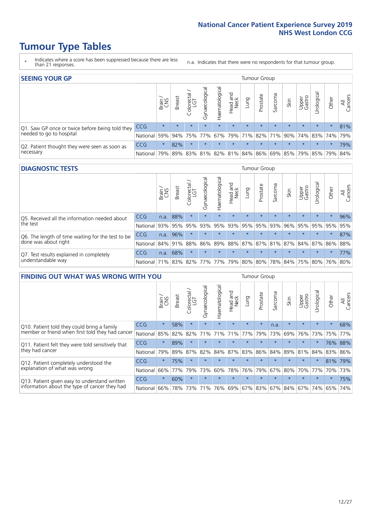# **Tumour Type Tables**

- \* Indicates where a score has been suppressed because there are less than 21 responses.
- n.a. Indicates that there were no respondents for that tumour group.

| <b>SEEING YOUR GP</b>                           |            |              |               |                   |                |                |                             |         | <b>Tumour Group</b> |         |         |                 |                                                           |         |                |
|-------------------------------------------------|------------|--------------|---------------|-------------------|----------------|----------------|-----------------------------|---------|---------------------|---------|---------|-----------------|-----------------------------------------------------------|---------|----------------|
|                                                 |            | Brain<br>CNS | <b>Breast</b> | Colorectal<br>LGT | Gynaecological | Haematological | Head and<br>Neck            | Lung    | Prostate            | Sarcoma | Skin    | Upper<br>Gastro | Urological                                                | Other   | All<br>Cancers |
| Q1. Saw GP once or twice before being told they | <b>CCG</b> | $\star$      | $\star$       | $\star$           | $\star$        | $\star$        | $\star$                     | $\star$ | $\star$             | $\star$ | $\star$ | $\star$         | $\star$                                                   | $\star$ | 81%            |
| needed to go to hospital                        | National   | 59%          |               |                   |                |                | 94% 75% 77% 67% 79% 71% 82% |         |                     |         |         |                 | 71% 90% 74% 83% 74%                                       |         | 79%            |
| Q2. Patient thought they were seen as soon as   | <b>CCG</b> | $\star$      | 82%           | $\star$           | $\star$        | $\star$        | $\star$                     | $\star$ | $\star$             | $\star$ | $\star$ | $\star$         | $\star$                                                   | $\star$ | 79%            |
| necessary                                       | National   | 79%          |               | 89% 83%           |                |                |                             |         |                     |         |         |                 | 81%   82%   81%   84%   86%   69%   85%   79%   85%   79% |         | 84%            |

#### **DIAGNOSTIC TESTS** Tumour Group

|                                                   |                                                                  | Brain | <b>Breast</b> | Colorectal<br>LGT | $\overline{\sigma}$<br>Gynaecologic | Haematological | Head and<br>Neck | Lung    | Prostate | Sarcoma | Skin    | Upper<br>Gastro | Irologica                                   | Other   | All<br>Cancers |
|---------------------------------------------------|------------------------------------------------------------------|-------|---------------|-------------------|-------------------------------------|----------------|------------------|---------|----------|---------|---------|-----------------|---------------------------------------------|---------|----------------|
| Q5. Received all the information needed about     | <b>CCG</b>                                                       | n.a.  | 88%           |                   | $\star$                             | $\star$        | $\star$          | $\star$ | $\star$  | $\star$ | $\star$ | $\star$         | $\star$                                     | $\star$ | 96%            |
| the test                                          | National                                                         | 93%   | 95%           | 95%               | 93%                                 | 95%            |                  | 93% 95% | 95%      | 93%     | 96%     | 95%             | 95%                                         | 95%     | 95%            |
| Q6. The length of time waiting for the test to be | <b>CCG</b>                                                       | n.a.  | 96%           |                   | $\star$                             | $\star$        | $\star$          | $\star$ | $\star$  | $\star$ | $\star$ | $\star$         | $\star$                                     | $\star$ | 87%            |
| done was about right                              | National 84% 91%                                                 |       |               | 88%               |                                     |                |                  |         |          |         |         |                 | 86% 89% 88% 87% 87% 81% 87% 84% 87% 86% 88% |         |                |
| Q7. Test results explained in completely          | <b>CCG</b>                                                       | n.a.  | 68%           |                   | $\star$                             | $\star$        | $\star$          | $\star$ | $\star$  | $\star$ | $\star$ | $\star$         | $\star$                                     | $\star$ | 77%            |
| understandable way                                | National 71% 83% 82% 77% 77% 79% 80% 80% 78% 84% 75% 80% 76% 80% |       |               |                   |                                     |                |                  |         |          |         |         |                 |                                             |         |                |

| <b>FINDING OUT WHAT WAS WRONG WITH YOU</b>        |            |         |               |                 |                |                |                        |             | <b>Tumour Group</b> |         |         |                 |           |         |                |
|---------------------------------------------------|------------|---------|---------------|-----------------|----------------|----------------|------------------------|-------------|---------------------|---------|---------|-----------------|-----------|---------|----------------|
|                                                   |            | Brain   | <b>Breast</b> | ╮<br>Colorectal | Gynaecological | Haematological | ad and<br>Neck<br>Head | Lung        | Prostate            | Sarcoma | Skin    | Upper<br>Gastro | Jrologica | Other   | All<br>Cancers |
| Q10. Patient told they could bring a family       | <b>CCG</b> | $\star$ | 58%           | $\star$         | $\star$        | $\star$        | $\star$                | $\star$     | $\star$             | n.a.    | $\star$ | $\star$         | $\star$   | $\star$ | 68%            |
| member or friend when first told they had cancer  | National   | 85%     | 82%           | 82%             | 71%            | 71%            | 71%                    | 77%         | 79%                 | 73%     | 69%     | 76%             | 73%       | 75%     | 77%            |
| Q11. Patient felt they were told sensitively that | <b>CCG</b> | $\star$ | 89%           | $\star$         | $\star$        | $\star$        | $\star$                | $\star$     | $\star$             | $\star$ | $\star$ | $\star$         | $\star$   |         | 76% 88%        |
| they had cancer                                   | National   | 79%     | 89%           | 87%             | 82%            | 84%            | 87%                    | 83%         | 86%                 | 84%     | 89%     | 81%             | 84%       | 83% 86% |                |
| Q12. Patient completely understood the            | CCG        | $\star$ | 75%           |                 | $\star$        |                | $\star$                | $\star$     | $\star$             | $\star$ | $\star$ | $\star$         | $\star$   | 81%     | 79%            |
| explanation of what was wrong                     | National   | 66%     | 77%           | 79%             | 73%            | 60%            | 78%                    | 76%         | 79%                 | 67%     | 80%     | 70%             | 77%       | 70%     | 73%            |
| Q13. Patient given easy to understand written     | <b>CCG</b> | $\star$ | 60%           | $\star$         | $\star$        | $\star$        | $\star$                | $\star$     | $\star$             | $\star$ | $\star$ | $\star$         | $\star$   | $\ast$  | 75%            |
| information about the type of cancer they had     | National   | 66%     | 78%           | 73%             | 71%            | 76%            |                        | 69% 67% 83% |                     |         | 67% 84% | 67%             | 74%       | 65%     | 74%            |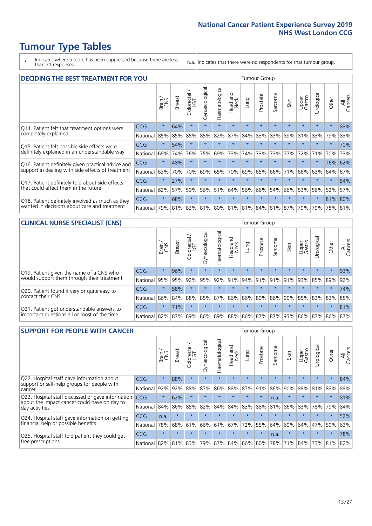# **Tumour Type Tables**

\* Indicates where a score has been suppressed because there are less than 21 responses.

n.a. Indicates that there were no respondents for that tumour group.

| <b>DECIDING THE BEST TREATMENT FOR YOU</b>         |          |         |               |                             |                |                |                         |         | <b>Tumour Group</b> |                                         |         |                 |            |         |                |
|----------------------------------------------------|----------|---------|---------------|-----------------------------|----------------|----------------|-------------------------|---------|---------------------|-----------------------------------------|---------|-----------------|------------|---------|----------------|
|                                                    |          | Brain   | <b>Breast</b> | olorectal.<br>LGT<br>$\cup$ | Gynaecological | Haematological | ead and<br>Neck<br>Head | Lung    | Prostate            | Sarcoma                                 | Skin    | Upper<br>Gastro | Jrological | Other   | All<br>Cancers |
| Q14. Patient felt that treatment options were      | CCG      | $\star$ | 64%           | $\star$                     | $\star$        | $\star$        | $\star$                 | $\star$ | $\star$             | $\star$                                 | $\star$ | $\star$         | $\star$    | $\star$ | 83%            |
| completely explained                               | National | 85%     | 85%           | 85%                         | 85%            | 82%            | 87%                     | 84%     | 83%                 | 83%                                     | 89%     | 81%             | 83%        | 79%     | 83%            |
| Q15. Patient felt possible side effects were       | CCG      | $\star$ | 54%           | $\star$                     | $\star$        | $\star$        | $\star$                 | $\star$ | $\star$             | 大                                       |         | $\star$         | $\star$    | $\star$ | 70%            |
| definitely explained in an understandable way      | National | 69%     | 74%           | 76%                         | 75%            | 69%            | 73%                     | 74%     | 73%                 | 73%                                     | 77%     | 72%             | 71%        | 70%     | 73%            |
| Q16. Patient definitely given practical advice and | CCG      | $\star$ | 48%           | $\star$                     | $\star$        | $\star$        | $\star$                 | $\star$ | $\star$             | $\star$                                 | $\star$ | $\star$         | $\star$    | 76%     | 62%            |
| support in dealing with side effects of treatment  | National | 63%     | 70%           | 70%                         | 69%            | 65%            | 70%                     | 69%     | 65%                 | 66%                                     | 71%     | 66%             | 63%        | 64%     | 67%            |
| Q17. Patient definitely told about side effects    | CCG      | $\star$ | 27%           | $\star$                     | $\star$        | $\star$        | $\star$                 | $\star$ | $\star$             | $\star$                                 | $\star$ | $\star$         | $\star$    | $\star$ | 54%            |
| that could affect them in the future               | National | 62%     | 57%           | 59%                         | 56%            | 51%            | 64%                     | 56%     | 66%                 | 54%                                     | 66%     | 53%             | 56%        | 52%     | 57%            |
| Q18. Patient definitely involved as much as they   | CCG      | $\star$ | 68%           | $\star$                     | $\star$        | $\star$        | $\star$                 | $\star$ | $\star$             | $\star$                                 | $\star$ | $\star$         | $\star$    | 81%     | 80%            |
| wanted in decisions about care and treatment       | National | 79%     |               |                             |                |                |                         |         |                     | 81% 83% 81% 80% 81% 81% 84% 81% 87% 79% |         |                 | 79%        | 78% 81% |                |

#### **CLINICAL NURSE SPECIALIST (CNS)** Tumour Group

|                                                            |                                                                  | Brain   | <b>Breast</b> | olorectal<br>LGT<br>Ü | $\overline{\sigma}$<br>aecologic<br>Š | Haematological | Head and<br>Neck | Lung    | Prostate | Sarcoma         | Skin    | Upper<br>Gastro | rological                                       | Other    | All<br>Cancers |
|------------------------------------------------------------|------------------------------------------------------------------|---------|---------------|-----------------------|---------------------------------------|----------------|------------------|---------|----------|-----------------|---------|-----------------|-------------------------------------------------|----------|----------------|
| Q19. Patient given the name of a CNS who                   | <b>CCG</b>                                                       | $\star$ | 96%           |                       | $\star$                               | $\star$        | $\star$          | $\star$ | $\star$  | $\star$         | $\star$ | $\star$         | $\star$                                         | $^\star$ | 93%            |
| would support them through their treatment                 | National                                                         | 95%     | 95%           | 92%                   | 95%                                   | 92% 91%        |                  |         |          | 94% 91% 91% 91% |         | 93%             | 85% 89%                                         |          | 92%            |
| Q20. Patient found it very or quite easy to                | CCG                                                              | $\star$ | 58%           | $\star$               | $\star$                               | $\star$        | $\star$          | $\star$ | $\star$  | $\star$         | $\star$ | $\star$         | $\star$                                         | $\star$  | 74%            |
| contact their CNS                                          | National                                                         | 86%     |               |                       |                                       |                |                  |         |          |                 |         |                 | 84% 88% 85% 87% 86% 86% 80% 86% 90% 85% 83% 83% |          | 85%            |
| . Patient got understandable answers to<br>O <sub>21</sub> | <b>CCG</b>                                                       | $\star$ | 71%           |                       | $\star$                               | $\star$        | $\star$          | $\star$ | $\star$  | $\star$         | $\star$ | $\star$         | $\star$                                         | $\star$  | 81%            |
| important questions all or most of the time                | National 82% 87% 89% 86% 89% 88% 86% 87% 87% 93% 86% 87% 86% 87% |         |               |                       |                                       |                |                  |         |          |                 |         |                 |                                                 |          |                |

| <b>SUPPORT FOR PEOPLE WITH CANCER</b>                                                             |            |         |               |            |                |                |                         |             | <b>Tumour Group</b> |         |         |                 |            |         |                |
|---------------------------------------------------------------------------------------------------|------------|---------|---------------|------------|----------------|----------------|-------------------------|-------------|---------------------|---------|---------|-----------------|------------|---------|----------------|
|                                                                                                   |            | Brain   | <b>Breast</b> | Colorectal | Gynaecological | Haematological | ead and<br>Neck<br>Head | Lung        | Prostate            | Sarcoma | Skin    | Upper<br>Gastro | Jrological | Other   | All<br>Cancers |
| Q22. Hospital staff gave information about<br>support or self-help groups for people with         | <b>CCG</b> | $\star$ | 88%           | $\star$    | $\star$        | $\star$        | $\star$                 | $\star$     | $\star$             | $\star$ | $\star$ | $\star$         | $\star$    | $\star$ | 84%            |
| cancer                                                                                            | National   | 92%     | 92%           | 88%        | 87%            | 86%            | 88%                     | 87%         | 91%                 | 86%     | 90%     | 88%             | 81%        | 83%     | 88%            |
| Q23. Hospital staff discussed or gave information<br>about the impact cancer could have on day to | CCG.       | $\star$ | 62%           | $\star$    | $\star$        | $\star$        | $\star$                 | $\star$     | $\star$             | n.a.    | $\star$ | $\star$         | $\star$    | $\star$ | 81%            |
| day activities                                                                                    | National   | 84%     | 86%           | 85%        | 82%            | 84%            | 84%                     | 83%         | 88%                 | 81%     | 86%     | 83%             | 78%        | 79%     | 84%            |
| Q24. Hospital staff gave information on getting                                                   | CCG        | n.a.    | $\star$       | $\star$    | $\star$        |                | $\star$                 | $\star$     | $\star$             | $\star$ | $\star$ | $\star$         | $\star$    | $\ast$  | 52%            |
| financial help or possible benefits                                                               | National   | 78%     | 68%           | 61%        | 66%            | 61%            | 67%                     | 72%         | 55%                 | 64%     | 60%     | 64%             | 47%        | 59%     | 63%            |
| Q25. Hospital staff told patient they could get                                                   | <b>CCG</b> | $\star$ | $\star$       | $\star$    | $\star$        |                | $\star$                 | $\star$     | $\star$             | n.a.    | $\star$ | $\star$         | $\star$    | $\star$ | 78%            |
| free prescriptions                                                                                | National I | 82%     | 81%           | 83%        | 79%            | 87%            |                         | 84% 86% 80% |                     | 78%     | 71%     | 84%             | 73%        | 81%     | 82%            |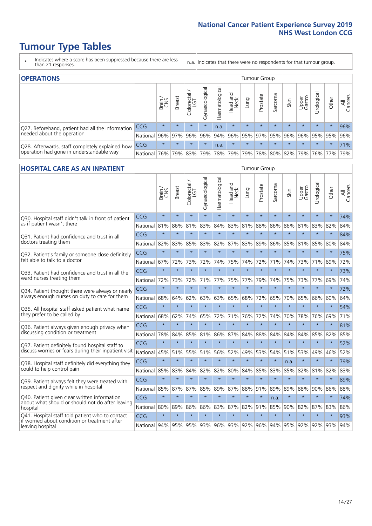# **Tumour Type Tables**

- \* Indicates where a score has been suppressed because there are less than 21 responses.
- n.a. Indicates that there were no respondents for that tumour group.

| <b>OPERATIONS</b>                                |            |               |               |            |                |                |                  |         | Tumour Group        |         |         |                 |                                 |         |                |
|--------------------------------------------------|------------|---------------|---------------|------------|----------------|----------------|------------------|---------|---------------------|---------|---------|-----------------|---------------------------------|---------|----------------|
|                                                  |            | Brain.<br>CNS | <b>Breast</b> | Colorectal | Gynaecological | Haematological | Head and<br>Neck | Lung    | Prostate            | Sarcoma | Skin    | Upper<br>Gastro | Irological                      | Other   | All<br>Cancers |
| Q27. Beforehand, patient had all the information | CCG        | $\star$       | $\star$       | $\star$    | $\star$        | n.a.           | $\star$          | $\star$ | $\star$             | $\star$ | $\star$ | $\star$         | $\star$                         | $\star$ | 96%            |
| needed about the operation                       | National   | 96%           |               | 97% 96%    | 96%            | 94%            |                  |         | 96% 95% 97% 95% 96% |         |         |                 | 96% 95% 95%                     |         | 96%            |
| Q28. Afterwards, staff completely explained how  | <b>CCG</b> | $\star$       | $\star$       | $\star$    | $\star$        | n.a.           | $\star$          | $\star$ | $\star$             | $\star$ | $\star$ | $\star$         | $\star$                         | $\star$ | 71%            |
| operation had gone in understandable way         | National   | 76%           |               | 79% 83%    | 79%            |                | 78% 79%          |         |                     |         |         |                 | 79% 78% 80% 82% 79% 76% 77% 79% |         |                |

#### **HOSPITAL CARE AS AN INPATIENT** Tumour Group

|                                                                                                  |              | Brain   | <b>Breast</b> | Colorectal /<br>LGT | Gynaecological | Haematological      | Head and<br>Neck | Lung    | Prostate | Sarcoma | Skin    | Upper<br>Gastro | Urological | Other   | Cancers<br>$\equiv$ |
|--------------------------------------------------------------------------------------------------|--------------|---------|---------------|---------------------|----------------|---------------------|------------------|---------|----------|---------|---------|-----------------|------------|---------|---------------------|
| Q30. Hospital staff didn't talk in front of patient                                              | CCG          | $\star$ | $\star$       | $\star$             | $\star$        | $\star$             | $\star$          | $\star$ | $\star$  | $\star$ | $\star$ | $\star$         | $\star$    | $\star$ | 74%                 |
| as if patient wasn't there                                                                       | National     | 81%     | 86%           | 81%                 | 83%            | 84%                 | 83%              | 81%     | 88%      | 86%     | 86%     | 81%             | 83%        | 82%     | 84%                 |
| 031. Patient had confidence and trust in all                                                     | CCG          | $\star$ | $\star$       | $\star$             | $\star$        | $\star$             | $\star$          | $\star$ | $\star$  | $\star$ | $\star$ | $\star$         | $\star$    | $\star$ | 84%                 |
| doctors treating them                                                                            | National     | 82%     | 83%           | 85%                 | 83%            | 82%                 | 87%              | 83%     | 89%      | 86%     | 85%     | 81%             | 85%        | 80%     | 84%                 |
| Q32. Patient's family or someone close definitely                                                | CCG          | $\star$ | $\star$       | $\star$             | $\star$        | $\star$             | $\star$          | $\star$ | $\star$  | $\star$ | $\star$ | $\star$         | $\star$    | $\star$ | 75%                 |
| felt able to talk to a doctor                                                                    | National     | 67%     | 72%           | 73%                 | 72%            | 74%                 | 75%              | 74%     | 72%      | 71%     | 74%     | 73%             | 71%        | 69%     | 72%                 |
| Q33. Patient had confidence and trust in all the                                                 | CCG          | $\star$ | $\star$       | $\star$             | $\star$        | $\star$             | $\star$          | $\star$ | $\star$  | $\star$ | $\star$ | $\star$         | $\star$    | $\star$ | 73%                 |
| ward nurses treating them                                                                        | National 72% |         | 73%           | 72%                 | 71%            | 77%                 | 75%              | 77%     | 79%      | 74%     | 75%     | 73%             | 77%        | 69%     | 74%                 |
| Q34. Patient thought there were always or nearly                                                 | CCG          | $\star$ | $\star$       | $\star$             | $\star$        | $\star$             | $\star$          | $\star$ | $\star$  | $\star$ | $\star$ |                 | $\star$    | $\star$ | 72%                 |
| always enough nurses on duty to care for them                                                    | National     | 68%     | 64%           | 62%                 | 63%            | 63%                 | 65%              | 68%     | 72%      | 65%     | 70%     | 65%             | 66%        | 60%     | 64%                 |
| Q35. All hospital staff asked patient what name                                                  | CCG          | $\star$ | $\star$       | $\star$             | $\star$        | $\star$             | $\star$          | $\star$ | $\star$  | $\star$ | $\star$ | $\star$         | $\star$    | $\star$ | 54%                 |
| they prefer to be called by                                                                      | National     | 68%     | 62%           | 74%                 | 65%            | 72%                 | 71%              | 76%     | 72%      | 74%     | 70%     | 78%             | 76%        | 69%     | 71%                 |
| Q36. Patient always given enough privacy when                                                    | CCG          | $\star$ | $\star$       | $\star$             | $\star$        | $\star$             | $\star$          | $\star$ | $\star$  | $\star$ | $\star$ | $\star$         | $\star$    | $\star$ | 81%                 |
| discussing condition or treatment                                                                | National     | 78%     | 84%           | 85%                 | 81%            | 86%                 | 87%              | 84%     | 88%      | 84%     | 84%     | 84%             | 85%        | 82%     | 85%                 |
| Q37. Patient definitely found hospital staff to                                                  | CCG          | $\star$ | $\star$       | $\star$             | $\star$        | $\star$             | $\star$          | $\star$ | $\star$  | $\star$ | $\star$ | $\star$         | $\star$    | $\star$ | 52%                 |
| discuss worries or fears during their inpatient visit                                            | National     | 45%     | 51%           |                     | 55% 51%        | 56%                 | 52%              | 49%     | 53%      | 54%     |         | 51% 53%         | 49%        | 46%     | 52%                 |
| Q38. Hospital staff definitely did everything they                                               | CCG          | $\star$ | $\star$       | $\star$             | $\star$        | $\star$             | $\star$          | $\star$ | $\star$  | $\star$ | n.a.    | $\star$         | $\star$    | $\star$ | 79%                 |
| could to help control pain                                                                       | National     | 85%     | 83%           | 84%                 | 82%            | 82%                 | 80%              | 84%     | 85%      | 83%     | 85%     | 82%             | 81%        | 82%     | 83%                 |
| Q39. Patient always felt they were treated with                                                  | CCG          | $\star$ | $\star$       | $\star$             | $\star$        | $\star$             | $\star$          | $\star$ | $\star$  | $\star$ | $\star$ | $\star$         | $\star$    | $\star$ | 89%                 |
| respect and dignity while in hospital                                                            | National     | 85%     | 87%           | 87%                 | 85%            | 89%                 | 87%              | 88%     | 91%      | 89%     | 89%     | 88%             | 90%        | 86%     | 88%                 |
| Q40. Patient given clear written information<br>about what should or should not do after leaving | CCG          | $\star$ | $\star$       | $\star$             | $\star$        | $\star$             | $\star$          | $\star$ | $\star$  | n.a.    | $\star$ | $\star$         | $\star$    | $\star$ | 74%                 |
| hospital                                                                                         | National 80% |         | 89%           | 86%                 | 86%            | 83%                 | 87%              | 82%     | 91%      | 85%     | 90%     | 82%             | 87%        | 83%     | 86%                 |
| Q41. Hospital staff told patient who to contact<br>if worried about condition or treatment after | CCG          | $\star$ | $\star$       | $\star$             | $\star$        | $\star$             | $\star$          | $\star$ | $\star$  | $\star$ | $\star$ | $\star$         | $\star$    | $\star$ | 93%                 |
| leaving hospital                                                                                 | National 94% |         | 95%           |                     |                | 95% 93% 96% 93% 92% |                  |         | 96%      | 94%     |         | 95% 92%         |            | 92% 93% | 94%                 |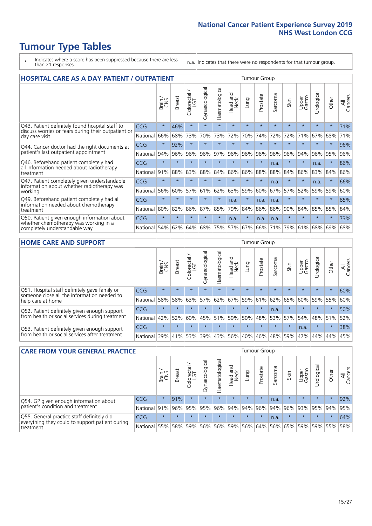# **Tumour Type Tables**

- \* Indicates where a score has been suppressed because there are less than 21 responses.
- n.a. Indicates that there were no respondents for that tumour group.

| <b>HOSPITAL CARE AS A DAY PATIENT / OUTPATIENT</b>                                                                    |            |         |               |                     |                |                |                         |         |          | <b>Tumour Group</b>      |         |                 |            |         |                |  |  |  |  |  |  |  |
|-----------------------------------------------------------------------------------------------------------------------|------------|---------|---------------|---------------------|----------------|----------------|-------------------------|---------|----------|--------------------------|---------|-----------------|------------|---------|----------------|--|--|--|--|--|--|--|
|                                                                                                                       |            | Brain   | <b>Breast</b> | Colorectal /<br>LGT | Gynaecological | Haematological | ead and<br>Neck<br>Head | Lung    | Prostate | arcoma<br>$\overline{C}$ | Skin    | Upper<br>Gastro | Urological | Other   | All<br>Cancers |  |  |  |  |  |  |  |
| Q43. Patient definitely found hospital staff to                                                                       | CCG        | $\star$ | 46%           | $\star$             | $\star$        | $\star$        | $\star$                 | $\star$ | $\star$  | $\star$                  | $\star$ | $\star$         | $\star$    | $\star$ | 71%            |  |  |  |  |  |  |  |
| discuss worries or fears during their outpatient or<br>day case visit                                                 | National   | 66%     | 68%           | 73%                 | 70%            | 73%            | 72%                     | 70%     | 74%      | 72%                      | 72%     | 71%             | 67%        | 68%     | 71%            |  |  |  |  |  |  |  |
| Q44. Cancer doctor had the right documents at<br>patient's last outpatient appointment                                | CCG        | $\star$ | 92%           | $\star$             | $\star$        |                | $\star$                 | $\star$ | $\star$  | $\star$                  |         | $\star$         | $\star$    | $\ast$  | 96%            |  |  |  |  |  |  |  |
|                                                                                                                       | National   | 94%     | 96%           | 96%                 | 96%            | 97%            | 96%                     | 96%     | 96%      | 96%                      | 96%     | 94%             | 96%        | 95%     | 96%            |  |  |  |  |  |  |  |
| Q46. Beforehand patient completely had                                                                                | <b>CCG</b> | $\star$ | $\star$       | $\star$             |                |                | $\star$                 | $\star$ | $\star$  | n.a.                     |         | $\star$         | n.a.       | $\star$ | 86%            |  |  |  |  |  |  |  |
| all information needed about radiotherapy<br>treatment                                                                | National   | 91%     | 88%           | 83%                 | 88%            | 84%            | 86%                     | 86%     | 88%      | 88%                      | 84%     | 86%             | 83%        | 84%     | 86%            |  |  |  |  |  |  |  |
| Q47. Patient completely given understandable<br>information about whether radiotherapy was                            | CCG        | $\star$ | $\star$       | $\star$             | $\star$        | $\star$        | $\star$                 | $\star$ | $\star$  | n.a.                     | $\star$ | $\star$         | n.a.       | $\star$ | 66%            |  |  |  |  |  |  |  |
| working                                                                                                               | National   | 56%     | 60%           | 57%                 | 61%            | 62%            | 63%                     | 59%     | 60%      | 67%                      | 57%     | 52%             | 59%        | 59%     | 60%            |  |  |  |  |  |  |  |
| Q49. Beforehand patient completely had all                                                                            | CCG        | $\star$ | $\star$       | $\star$             | $\star$        | $\star$        | n.a.                    | $\star$ | n.a.     | n.a.                     | $\star$ | $\star$         | $\star$    | $\ast$  | 85%            |  |  |  |  |  |  |  |
| information needed about chemotherapy<br>treatment                                                                    | National   | 80%     | 82%           | 86%                 | 87%            | 85%            | 79%                     | 84%     | 86%      | 86%                      | 90%     | 84%             | 85%        | 85%     | 84%            |  |  |  |  |  |  |  |
| Q50. Patient given enough information about<br>whether chemotherapy was working in a<br>completely understandable way | <b>CCG</b> | $\star$ | $\star$       | $\star$             |                | $\star$        | n.a.                    | $\star$ | n.a.     | n.a.                     | $\star$ |                 |            | $\star$ | 73%            |  |  |  |  |  |  |  |
|                                                                                                                       | National   | 54%     | 62%           | 64%                 | 68%            | 75%            |                         | 57% 67% | 66%      | 71%                      | 79%     | 61%             | 68%        | 69%     | 68%            |  |  |  |  |  |  |  |

#### **HOME CARE AND SUPPORT** Tumour Group

|                                                                                                                   |              | Brain   | Breast  | Colorectal<br>LGT | $\overline{\sigma}$<br>Gynaecologic | $\overline{\sigma}$<br>Haematologic | ad and<br>Neck<br>Head | Dung            | Prostate | Sarcoma | Skin    | Upper<br>Gastro | rological   | Other   | All<br>Cancers |
|-------------------------------------------------------------------------------------------------------------------|--------------|---------|---------|-------------------|-------------------------------------|-------------------------------------|------------------------|-----------------|----------|---------|---------|-----------------|-------------|---------|----------------|
| Q51. Hospital staff definitely gave family or<br>someone close all the information needed to<br>help care at home | <b>CCG</b>   | $\star$ | $\star$ | $\star$           | $\star$                             | $\star$                             | $\star$                | $\star$         | $\star$  | $\star$ | $\star$ | $\star$         | $\star$     | $\star$ | 60%            |
|                                                                                                                   | National     | 58%     | 58%     | 63%               | 57%                                 |                                     |                        | 62% 67% 59% 61% |          |         | 62% 65% |                 | 60% 59% 55% |         | 60%            |
| Q52. Patient definitely given enough support<br>from health or social services during treatment                   | <b>CCG</b>   | $\star$ |         |                   |                                     |                                     | $\star$                | $\star$         | $\star$  | n.a.    | $\star$ | $\star$         | $\star$     | $\star$ | 50%            |
|                                                                                                                   | National     | 42%     | 52%     | 60%               |                                     | 45% 51%                             | 59%                    | 50%             | 48%      |         | 53% 57% |                 | 54% 48% 51% |         | 52%            |
| Q53. Patient definitely given enough support<br>from health or social services after treatment                    | CCG          | $\star$ | $\star$ | $\star$           | $\star$                             |                                     | $\star$                | $\star$         | $\star$  | $\star$ | $\star$ | n.a.            | $\star$     | $\star$ | 38%            |
|                                                                                                                   | National 39% |         | 41% 53% |                   | 39%                                 |                                     | 43% 56%                | 40%             | 46%      |         | 48% 59% |                 | 47%  44%    | 44%     | 45%            |

| <b>CARE FROM YOUR GENERAL PRACTICE</b>                                                                     |              |              |               |                        |                    |                                     |                  |            | Tumour Group |         |                                                     |                 |                |         |                |  |  |  |  |  |  |
|------------------------------------------------------------------------------------------------------------|--------------|--------------|---------------|------------------------|--------------------|-------------------------------------|------------------|------------|--------------|---------|-----------------------------------------------------|-----------------|----------------|---------|----------------|--|--|--|--|--|--|
|                                                                                                            |              | Brain<br>CNS | <b>Breast</b> | ー<br>Colorectal<br>LGT | ᠊ᢐ<br>Gynaecologic | $\overline{\sigma}$<br>Haematologic | Head and<br>Neck | <b>Dun</b> | Prostate     | Sarcoma | Skin                                                | Upper<br>Gastro | Φ<br>Urologica | Other   | All<br>Cancers |  |  |  |  |  |  |
| Q54. GP given enough information about<br>patient's condition and treatment                                | <b>CCG</b>   | $\star$      | 91%           | $\star$                | $\star$            | $\star$                             | $\star$          | $\star$    | $\star$      | n.a.    | $\star$                                             | $\star$         | $\star$        | $\star$ | 92%            |  |  |  |  |  |  |
|                                                                                                            | National 91% |              |               | 96% 95%                | 95%                |                                     | 96% 94% 94% 96%  |            |              |         | 94% 96%                                             | 93% 95% 94%     |                |         | 95%            |  |  |  |  |  |  |
| Q55. General practice staff definitely did<br>everything they could to support patient during<br>treatment | <b>CCG</b>   | $\star$      | $\star$       | $\star$                | $\star$            | $\star$                             | $\star$          | $\star$    | $\star$      | n.a.    |                                                     | $\star$         | $\star$        | $\star$ | 64%            |  |  |  |  |  |  |
|                                                                                                            | National 55% |              |               | 58% 59%                | 56%                |                                     |                  |            |              |         | 56%   59%   56%   64%   56%   65%   59%   59%   55% |                 |                |         | 58%            |  |  |  |  |  |  |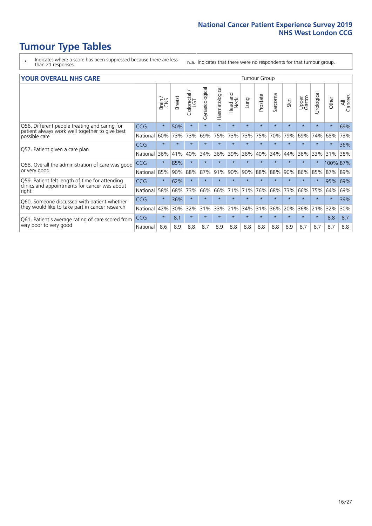# **Tumour Type Tables**

- \* Indicates where a score has been suppressed because there are less than 21 responses.
- n.a. Indicates that there were no respondents for that tumour group.

#### **YOUR OVERALL NHS CARE** THE CONSTRUCTION OF THE THROUP GROUP TUMOUR GROUP

| I YUN YENAEL NI IYOANE                                                                                   |            |         |               |                            |                |                | iamoar oroap            |         |          |              |         |                 |                |          |                |  |  |  |  |  |  |
|----------------------------------------------------------------------------------------------------------|------------|---------|---------------|----------------------------|----------------|----------------|-------------------------|---------|----------|--------------|---------|-----------------|----------------|----------|----------------|--|--|--|--|--|--|
|                                                                                                          |            | Brain   | <b>Breast</b> | ∽<br>olorectal<br>LGT<br>Ū | Gynaecological | Haematological | aad and<br>Neck<br>Head | Fung    | Prostate | arcoma<br>ιň | Skin    | Upper<br>Gastro | ෆී<br>Urologic | Other    | All<br>Cancers |  |  |  |  |  |  |
| Q56. Different people treating and caring for<br>patient always work well together to give best          | <b>CCG</b> | $\star$ | 50%           | $\star$                    | $\star$        | $\star$        | $\star$                 | $\star$ | $\star$  | $\star$      | $\star$ | $\star$         | $\star$        | $\star$  | 69%            |  |  |  |  |  |  |
| possible care                                                                                            | National   | 60%     | 73%           | 73%                        | 69%            | 75%            | 73%                     | 73%     | 75%      | 70%          | 79%     | 69%             | 74%            | 68%      | 73%            |  |  |  |  |  |  |
| Q57. Patient given a care plan                                                                           | <b>CCG</b> | $\star$ | $\star$       | $\star$                    | $\star$        |                | $\star$                 | $\star$ | $\star$  | $\star$      | $\star$ | $\star$         |                | $\star$  | 36%            |  |  |  |  |  |  |
|                                                                                                          | National   | 36%     | 41%           | 40%                        | 34%            | 36%            | 39%                     | 36%     | 40%      | 34%          | 44%     | 36%             | 33%            | 31%      | 38%            |  |  |  |  |  |  |
| Q58. Overall the administration of care was good<br>or very good                                         | <b>CCG</b> | $\star$ | 85%           | $\star$                    |                |                |                         |         | $\star$  | $\star$      | $\star$ | $\star$         |                | 100% 87% |                |  |  |  |  |  |  |
|                                                                                                          | National   | 85%     | 90%           | 88%                        | 87%            | 91%            | 90%                     | 90%     | 88%      | 88%          | 90%     | 86%             | 85%            | 87% 89%  |                |  |  |  |  |  |  |
| Q59. Patient felt length of time for attending<br>clinics and appointments for cancer was about<br>right | <b>CCG</b> | $\star$ | 62%           | $\star$                    | $\star$        |                | $\star$                 | $\star$ | $\star$  | $\star$      | $\star$ | $\star$         | $\star$        | 95%      | 69%            |  |  |  |  |  |  |
|                                                                                                          | National   | 58%     | 68%           | 73%                        | 66%            | 66%            | 71%                     | 71%     | 76%      | 68%          | 73%     | 66%             | 75%            | 64%      | 69%            |  |  |  |  |  |  |
| Q60. Someone discussed with patient whether<br>they would like to take part in cancer research           | <b>CCG</b> | $\star$ | 36%           | $\star$                    | $\star$        |                | $\star$                 | $\star$ | $\star$  | $\star$      | $\star$ | $\star$         |                |          | 39%            |  |  |  |  |  |  |
|                                                                                                          | National   | 42%     | 30%           | 32%                        | 31%            | 33%            | 21%                     | 34%     | 31%      | 36%          | 20%     | 36%             | 21%            | 32%      | 30%            |  |  |  |  |  |  |
| Q61. Patient's average rating of care scored from<br>very poor to very good                              | <b>CCG</b> | $\star$ | 8.1           | $\star$                    | $\star$        | $\star$        | $\star$                 | $\star$ | $\star$  | $\star$      | $\star$ | $\star$         | $\star$        | 8.8      | 8.7            |  |  |  |  |  |  |
|                                                                                                          | National   | 8.6     | 8.9           | 8.8                        | 8.7            | 8.9            | 8.8                     | 8.8     | 8.8      | 8.8          | 8.9     | 8.7             | 8.7            | 8.7      | 8.8            |  |  |  |  |  |  |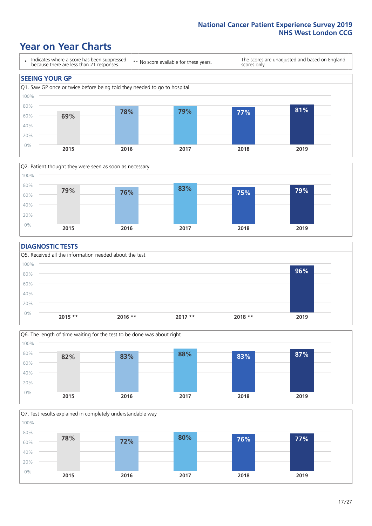### **Year on Year Charts**





#### **DIAGNOSTIC TESTS**





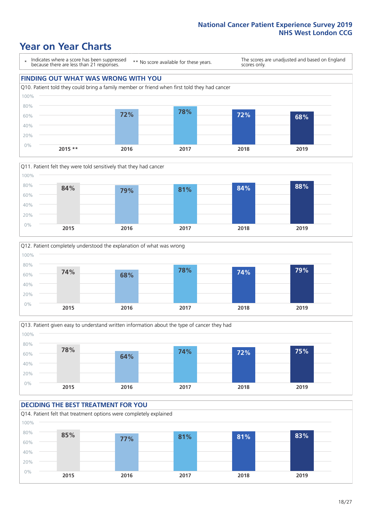### **Year on Year Charts**

\* Indicates where a score has been suppressed because there are less than 21 responses.

\*\* No score available for these years.

The scores are unadjusted and based on England scores only.

#### **FINDING OUT WHAT WAS WRONG WITH YOU** Q10. Patient told they could bring a family member or friend when first told they had cancer 0% 20% 40% 60% 80% 100% **2015 \*\* 2016 2017 2018 2019 72% 78% 72% 68%**







#### **DECIDING THE BEST TREATMENT FOR YOU** Q14. Patient felt that treatment options were completely explained 0% 20% 40% 60% 80% 100% **2015 2016 2017 2018 2019 85% 77% 81% 81% 83%**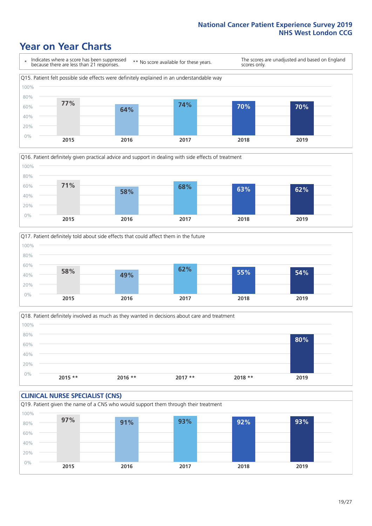### **Year on Year Charts**







Q18. Patient definitely involved as much as they wanted in decisions about care and treatment  $0%$ 20% 40% 60% 80% 100% **2015 \*\* 2016 \*\* 2017 \*\* 2018 \*\* 2019 80%**

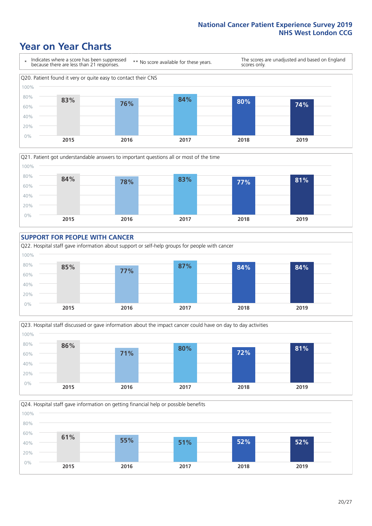### **Year on Year Charts**









**2015 2016 2017 2018 2019**

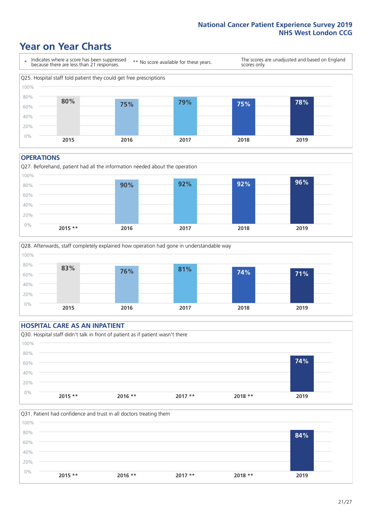### **Year on Year Charts**



#### **OPERATIONS**





#### **HOSPITAL CARE AS AN INPATIENT** Q30. Hospital staff didn't talk in front of patient as if patient wasn't there 0% 20% 40% 60% 80% 100% **2015 \*\* 2016 \*\* 2017 \*\* 2018 \*\* 2019 74%**

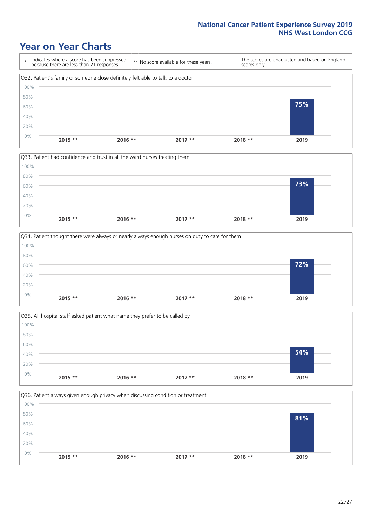### **Year on Year Charts**







Q35. All hospital staff asked patient what name they prefer to be called by  $0%$ 20% 40% 60% 80% 100% **2015 \*\* 2016 \*\* 2017 \*\* 2018 \*\* 2019 54%**

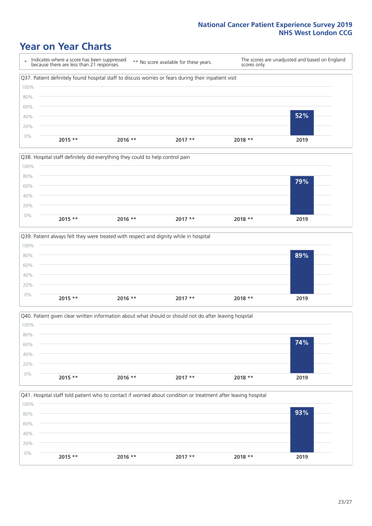### **Year on Year Charts**









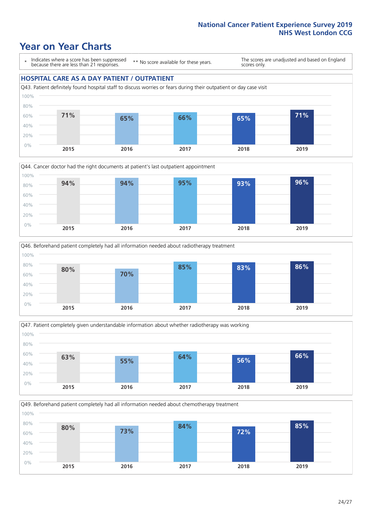### **Year on Year Charts**

\* Indicates where a score has been suppressed because there are less than 21 responses.

\*\* No score available for these years.

The scores are unadjusted and based on England scores only.

#### **HOSPITAL CARE AS A DAY PATIENT / OUTPATIENT**









Q49. Beforehand patient completely had all information needed about chemotherapy treatment

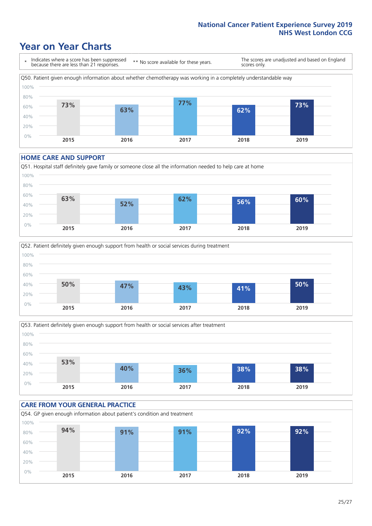### **Year on Year Charts**

\* Indicates where a score has been suppressed because there are less than 21 responses. \*\* No score available for these years. The scores are unadjusted and based on England scores only. Q50. Patient given enough information about whether chemotherapy was working in a completely understandable way 0% 20% 40% 60% 80% 100% **2015 2016 2017 2018 2019 73% 63% 77% 62% 73%**

#### **HOME CARE AND SUPPORT**







#### **CARE FROM YOUR GENERAL PRACTICE** Q54. GP given enough information about patient's condition and treatment 0% 20% 40% 60% 80% 100% **2015 2016 2017 2018 2019 94% 91% 91% 92% 92%**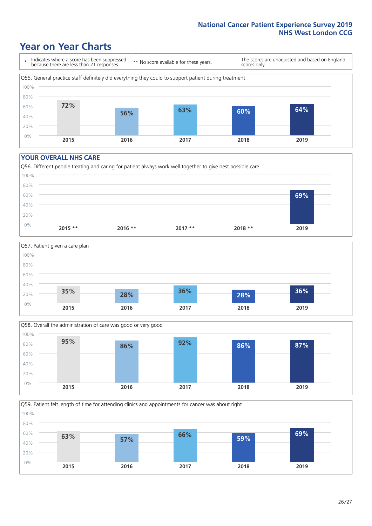### **Year on Year Charts**

\* Indicates where a score has been suppressed because there are less than 21 responses.

\*\* No score available for these years.

The scores are unadjusted and based on England scores only.



#### **YOUR OVERALL NHS CARE**







Q59. Patient felt length of time for attending clinics and appointments for cancer was about right